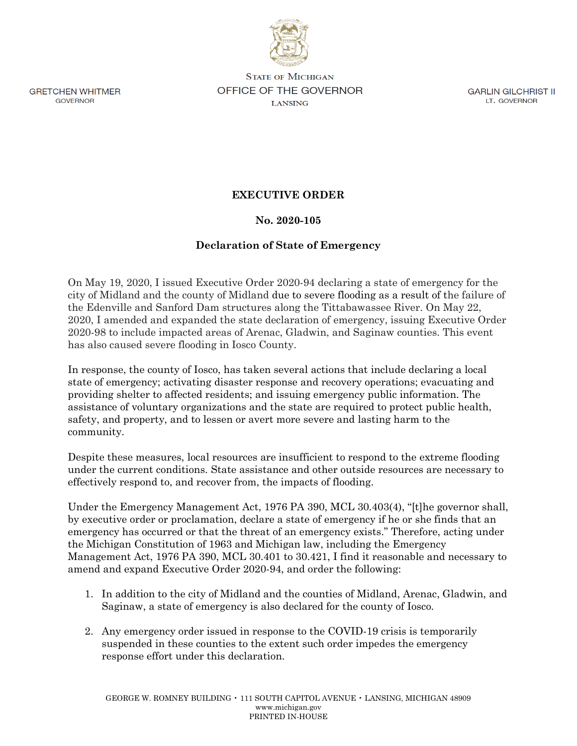

**STATE OF MICHIGAN** OFFICE OF THE GOVERNOR **LANSING** 

**GARLIN GILCHRIST II** LT. GOVERNOR

**GRETCHEN WHITMER GOVERNOR** 

## **EXECUTIVE ORDER**

## **No. 2020-105**

## **Declaration of State of Emergency**

On May 19, 2020, I issued Executive Order 2020-94 declaring a state of emergency for the city of Midland and the county of Midland due to severe flooding as a result of the failure of the Edenville and Sanford Dam structures along the Tittabawassee River. On May 22, 2020, I amended and expanded the state declaration of emergency, issuing Executive Order 2020-98 to include impacted areas of Arenac, Gladwin, and Saginaw counties. This event has also caused severe flooding in Iosco County.

In response, the county of Iosco, has taken several actions that include declaring a local state of emergency; activating disaster response and recovery operations; evacuating and providing shelter to affected residents; and issuing emergency public information. The assistance of voluntary organizations and the state are required to protect public health, safety, and property, and to lessen or avert more severe and lasting harm to the community.

Despite these measures, local resources are insufficient to respond to the extreme flooding under the current conditions. State assistance and other outside resources are necessary to effectively respond to, and recover from, the impacts of flooding.

Under the Emergency Management Act, 1976 PA 390, MCL 30.403(4), "[t]he governor shall, by executive order or proclamation, declare a state of emergency if he or she finds that an emergency has occurred or that the threat of an emergency exists." Therefore, acting under the Michigan Constitution of 1963 and Michigan law, including the Emergency Management Act, 1976 PA 390, MCL 30.401 to 30.421, I find it reasonable and necessary to amend and expand Executive Order 2020-94, and order the following:

- 1. In addition to the city of Midland and the counties of Midland, Arenac, Gladwin, and Saginaw, a state of emergency is also declared for the county of Iosco.
- 2. Any emergency order issued in response to the COVID-19 crisis is temporarily suspended in these counties to the extent such order impedes the emergency response effort under this declaration.